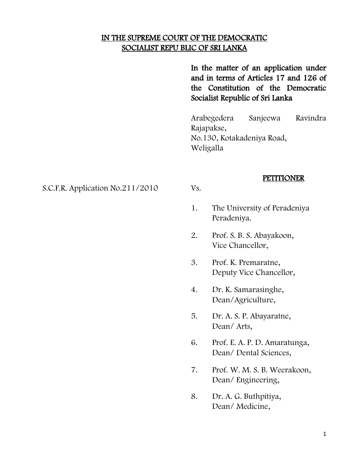## IN THE SUPREME COURT OF THE DEMOCRATIC SOCIALIST REPU BLIC OF SRI LANKA

In the matter of an application under and in terms of Articles 17 and 126 of the Constitution of the Democratic Socialist Republic of Sri Lanka

Arabegedera Sanjeewa Ravindra Rajapakse, No.130, Kotakadeniya Road, Weligalla

#### **PETITIONER**

S.C.F.R. Application No.211/2010 Vs.

1. The University of Peradeniya Peradeniya.

- 2. Prof. S. B. S. Abayakoon, Vice Chancellor,
- 3. Prof. K. Premaratne, Deputy Vice Chancellor,
- 4. Dr. K. Samarasinghe, Dean/Agriculture,
- 5. Dr. A. S. P. Abayaratne, Dean/ Arts,
- 6. Prof. E. A. P. D. Amaratunga, Dean/ Dental Sciences,
- 7. Prof. W. M. S. B. Weerakoon, Dean/ Engineering,
- 8. Dr. A. G. Buthpitiya, Dean/ Medicine,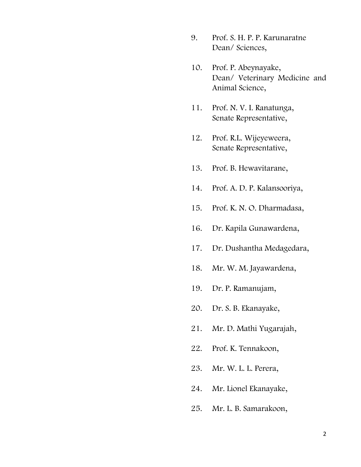- 9. Prof. S. H. P. P. Karunaratne Dean/ Sciences,
- 10. Prof. P. Abeynayake, Dean/ Veterinary Medicine and Animal Science,
- 11. Prof. N. V. I. Ranatunga, Senate Representative,
- 12. Prof. R.L. Wijeyeweera, Senate Representative,
- 13. Prof. B. Hewavitarane,
- 14. Prof. A. D. P. Kalansooriya,
- 15. Prof. K. N. O. Dharmadasa,
- 16. Dr. Kapila Gunawardena,
- 17. Dr. Dushantha Medagedara,
- 18. Mr. W. M. Jayawardena,
- 19. Dr. P. Ramanujam,
- 20. Dr. S. B. Ekanayake,
- 21. Mr. D. Mathi Yugarajah,
- 22. Prof. K. Tennakoon,
- 23. Mr. W. L. L. Perera,
- 24. Mr. Lionel Ekanayake,
- 25. Mr. L. B. Samarakoon,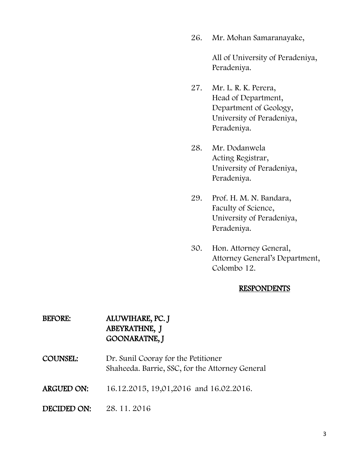26. Mr. Mohan Samaranayake,

All of University of Peradeniya, Peradeniya.

- 27. Mr. L. R. K. Perera, Head of Department, Department of Geology, University of Peradeniya, Peradeniya.
- 28. Mr. Dodanwela Acting Registrar, University of Peradeniya, Peradeniya.
- 29. Prof. H. M. N. Bandara, Faculty of Science, University of Peradeniya, Peradeniya.
- 30. Hon. Attorney General, Attorney General"s Department, Colombo 12.

#### **RESPONDENTS**

## BEFORE: ALUWIHARE, PC. J ABEYRATHNE, J GOONARATNE, J

- COUNSEL: Dr. Sunil Cooray for the Petitioner Shaheeda. Barrie, SSC, for the Attorney General
- ARGUED ON: 16.12.2015, 19,01,2016 and 16.02.2016.
- DECIDED ON: 28. 11. 2016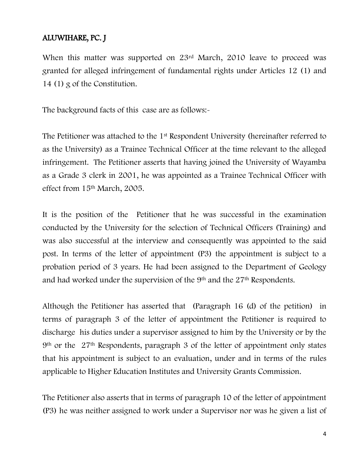# ALUWIHARE, PC. J

When this matter was supported on 23<sup>rd</sup> March, 2010 leave to proceed was granted for alleged infringement of fundamental rights under Articles 12 (1) and 14 (1) g of the Constitution.

The background facts of this case are as follows:-

The Petitioner was attached to the 1<sup>st</sup> Respondent University (hereinafter referred to as the University) as a Trainee Technical Officer at the time relevant to the alleged infringement. The Petitioner asserts that having joined the University of Wayamba as a Grade 3 clerk in 2001, he was appointed as a Trainee Technical Officer with effect from 15th March, 2005.

It is the position of the Petitioner that he was successful in the examination conducted by the University for the selection of Technical Officers (Training) and was also successful at the interview and consequently was appointed to the said post. In terms of the letter of appointment (P3) the appointment is subject to a probation period of 3 years. He had been assigned to the Department of Geology and had worked under the supervision of the 9<sup>th</sup> and the 27<sup>th</sup> Respondents.

Although the Petitioner has asserted that (Paragraph 16 (d) of the petition) in terms of paragraph 3 of the letter of appointment the Petitioner is required to discharge his duties under a supervisor assigned to him by the University or by the 9th or the 27th Respondents, paragraph 3 of the letter of appointment only states that his appointment is subject to an evaluation, under and in terms of the rules applicable to Higher Education Institutes and University Grants Commission.

The Petitioner also asserts that in terms of paragraph 10 of the letter of appointment (P3) he was neither assigned to work under a Supervisor nor was he given a list of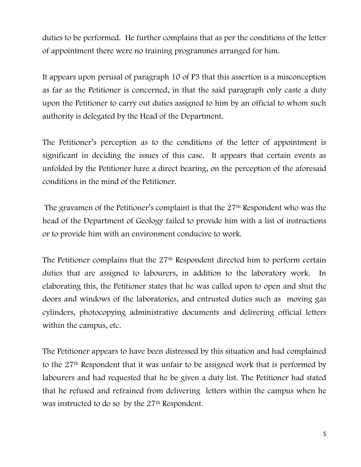duties to be performed. He further complains that as per the conditions of the letter of appointment there were no training programmes arranged for him.

It appears upon perusal of paragraph 10 of P3 that this assertion is a misconception as far as the Petitioner is concerned, in that the said paragraph only caste a duty upon the Petitioner to carry out duties assigned to him by an official to whom such authority is delegated by the Head of the Department.

The Petitioner's perception as to the conditions of the letter of appointment is significant in deciding the issues of this case. It appears that certain events as unfolded by the Petitioner have a direct bearing, on the perception of the aforesaid conditions in the mind of the Petitioner.

The gravamen of the Petitioner's complaint is that the 27<sup>th</sup> Respondent who was the head of the Department of Geology failed to provide him with a list of instructions or to provide him with an environment conducive to work.

The Petitioner complains that the 27<sup>th</sup> Respondent directed him to perform certain duties that are assigned to labourers, in addition to the laboratory work. In elaborating this, the Petitioner states that he was called upon to open and shut the doors and windows of the laboratories, and entrusted duties such as moving gas cylinders, photocopying administrative documents and delivering official letters within the campus, etc.

The Petitioner appears to have been distressed by this situation and had complained to the 27th Respondent that it was unfair to be assigned work that is performed by labourers and had requested that he be given a duty list. The Petitioner had stated that he refused and refrained from delivering letters within the campus when he was instructed to do so by the 27<sup>th</sup> Respondent.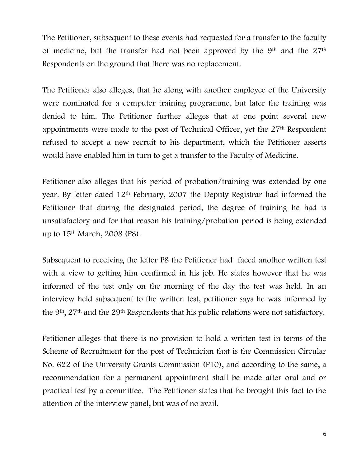The Petitioner, subsequent to these events had requested for a transfer to the faculty of medicine, but the transfer had not been approved by the 9<sup>th</sup> and the 27<sup>th</sup> Respondents on the ground that there was no replacement.

The Petitioner also alleges, that he along with another employee of the University were nominated for a computer training programme, but later the training was denied to him. The Petitioner further alleges that at one point several new appointments were made to the post of Technical Officer, yet the 27<sup>th</sup> Respondent refused to accept a new recruit to his department, which the Petitioner asserts would have enabled him in turn to get a transfer to the Faculty of Medicine.

Petitioner also alleges that his period of probation/training was extended by one year. By letter dated 12th February, 2007 the Deputy Registrar had informed the Petitioner that during the designated period, the degree of training he had is unsatisfactory and for that reason his training/probation period is being extended up to 15th March, 2008 (P8).

Subsequent to receiving the letter P8 the Petitioner had faced another written test with a view to getting him confirmed in his job. He states however that he was informed of the test only on the morning of the day the test was held. In an interview held subsequent to the written test, petitioner says he was informed by the 9th, 27th and the 29th Respondents that his public relations were not satisfactory.

Petitioner alleges that there is no provision to hold a written test in terms of the Scheme of Recruitment for the post of Technician that is the Commission Circular No. 622 of the University Grants Commission (P10), and according to the same, a recommendation for a permanent appointment shall be made after oral and or practical test by a committee. The Petitioner states that he brought this fact to the attention of the interview panel, but was of no avail.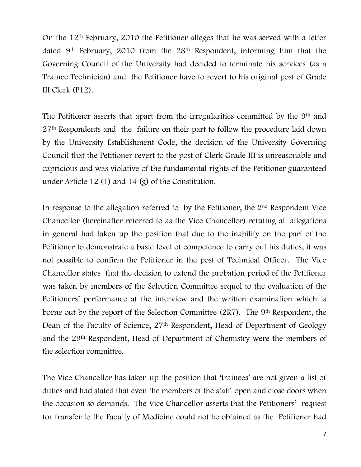On the 12th February, 2010 the Petitioner alleges that he was served with a letter dated 9th February, 2010 from the 28th Respondent, informing him that the Governing Council of the University had decided to terminate his services (as a Trainee Technician) and the Petitioner have to revert to his original post of Grade III Clerk (P12).

The Petitioner asserts that apart from the irregularities committed by the 9<sup>th</sup> and 27th Respondents and the failure on their part to follow the procedure laid down by the University Establishment Code, the decision of the University Governing Council that the Petitioner revert to the post of Clerk Grade III is unreasonable and capricious and was violative of the fundamental rights of the Petitioner guaranteed under Article 12 (1) and 14 (g) of the Constitution.

In response to the allegation referred to by the Petitioner, the 2nd Respondent Vice Chancellor (hereinafter referred to as the Vice Chancellor) refuting all allegations in general had taken up the position that due to the inability on the part of the Petitioner to demonstrate a basic level of competence to carry out his duties, it was not possible to confirm the Petitioner in the post of Technical Officer. The Vice Chancellor states that the decision to extend the probation period of the Petitioner was taken by members of the Selection Committee sequel to the evaluation of the Petitioners' performance at the interview and the written examination which is borne out by the report of the Selection Committee (2R7). The 9th Respondent, the Dean of the Faculty of Science, 27<sup>th</sup> Respondent, Head of Department of Geology and the 29th Respondent, Head of Department of Chemistry were the members of the selection committee.

The Vice Chancellor has taken up the position that "trainees" are not given a list of duties and had stated that even the members of the staff open and close doors when the occasion so demands. The Vice Chancellor asserts that the Petitioners' request for transfer to the Faculty of Medicine could not be obtained as the Petitioner had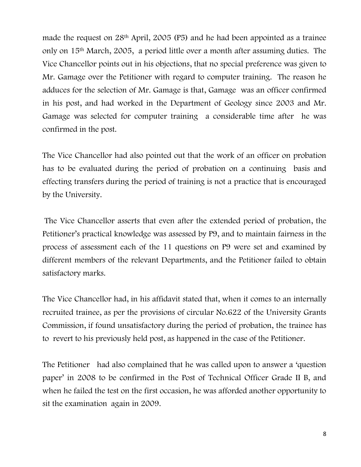made the request on 28<sup>th</sup> April, 2005 (P5) and he had been appointed as a trainee only on 15th March, 2005, a period little over a month after assuming duties. The Vice Chancellor points out in his objections, that no special preference was given to Mr. Gamage over the Petitioner with regard to computer training. The reason he adduces for the selection of Mr. Gamage is that, Gamage was an officer confirmed in his post, and had worked in the Department of Geology since 2003 and Mr. Gamage was selected for computer training a considerable time after he was confirmed in the post.

The Vice Chancellor had also pointed out that the work of an officer on probation has to be evaluated during the period of probation on a continuing basis and effecting transfers during the period of training is not a practice that is encouraged by the University.

The Vice Chancellor asserts that even after the extended period of probation, the Petitioner"s practical knowledge was assessed by P9, and to maintain fairness in the process of assessment each of the 11 questions on P9 were set and examined by different members of the relevant Departments, and the Petitioner failed to obtain satisfactory marks.

The Vice Chancellor had, in his affidavit stated that, when it comes to an internally recruited trainee, as per the provisions of circular No.622 of the University Grants Commission, if found unsatisfactory during the period of probation, the trainee has to revert to his previously held post, as happened in the case of the Petitioner.

The Petitioner had also complained that he was called upon to answer a "question paper" in 2008 to be confirmed in the Post of Technical Officer Grade II B, and when he failed the test on the first occasion, he was afforded another opportunity to sit the examination again in 2009.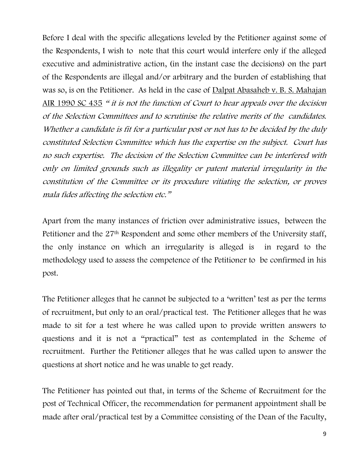Before I deal with the specific allegations leveled by the Petitioner against some of the Respondents, I wish to note that this court would interfere only if the alleged executive and administrative action, (in the instant case the decisions) on the part of the Respondents are illegal and/or arbitrary and the burden of establishing that was so, is on the Petitioner. As held in the case of Dalpat Abasaheb v. B. S. Mahajan AIR 1990 SC 435 " it is not the function of Court to hear appeals over the decision of the Selection Committees and to scrutinise the relative merits of the candidates. Whether a candidate is fit for a particular post or not has to be decided by the duly constituted Selection Committee which has the expertise on the subject. Court has no such expertise. The decision of the Selection Committee can be interfered with only on limited grounds such as illegality or patent material irregularity in the constitution of the Committee or its procedure vitiating the selection, or proves mala fides affecting the selection etc."

Apart from the many instances of friction over administrative issues, between the Petitioner and the 27th Respondent and some other members of the University staff, the only instance on which an irregularity is alleged is in regard to the methodology used to assess the competence of the Petitioner to be confirmed in his post.

The Petitioner alleges that he cannot be subjected to a 'written' test as per the terms of recruitment, but only to an oral/practical test. The Petitioner alleges that he was made to sit for a test where he was called upon to provide written answers to questions and it is not a "practical" test as contemplated in the Scheme of recruitment. Further the Petitioner alleges that he was called upon to answer the questions at short notice and he was unable to get ready.

The Petitioner has pointed out that, in terms of the Scheme of Recruitment for the post of Technical Officer, the recommendation for permanent appointment shall be made after oral/practical test by a Committee consisting of the Dean of the Faculty,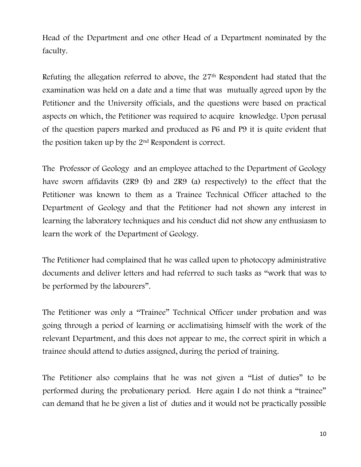Head of the Department and one other Head of a Department nominated by the faculty.

Refuting the allegation referred to above, the 27th Respondent had stated that the examination was held on a date and a time that was mutually agreed upon by the Petitioner and the University officials, and the questions were based on practical aspects on which, the Petitioner was required to acquire knowledge. Upon perusal of the question papers marked and produced as P6 and P9 it is quite evident that the position taken up by the 2nd Respondent is correct.

The Professor of Geology and an employee attached to the Department of Geology have sworn affidavits (2R9 (b) and 2R9 (a) respectively) to the effect that the Petitioner was known to them as a Trainee Technical Officer attached to the Department of Geology and that the Petitioner had not shown any interest in learning the laboratory techniques and his conduct did not show any enthusiasm to learn the work of the Department of Geology.

The Petitioner had complained that he was called upon to photocopy administrative documents and deliver letters and had referred to such tasks as "work that was to be performed by the labourers".

The Petitioner was only a "Trainee" Technical Officer under probation and was going through a period of learning or acclimatising himself with the work of the relevant Department, and this does not appear to me, the correct spirit in which a trainee should attend to duties assigned, during the period of training.

The Petitioner also complains that he was not given a "List of duties" to be performed during the probationary period. Here again I do not think a "trainee" can demand that he be given a list of duties and it would not be practically possible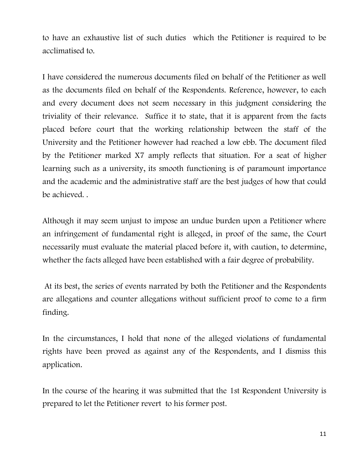to have an exhaustive list of such duties which the Petitioner is required to be acclimatised to.

I have considered the numerous documents filed on behalf of the Petitioner as well as the documents filed on behalf of the Respondents. Reference, however, to each and every document does not seem necessary in this judgment considering the triviality of their relevance. Suffice it to state, that it is apparent from the facts placed before court that the working relationship between the staff of the University and the Petitioner however had reached a low ebb. The document filed by the Petitioner marked X7 amply reflects that situation. For a seat of higher learning such as a university, its smooth functioning is of paramount importance and the academic and the administrative staff are the best judges of how that could be achieved. .

Although it may seem unjust to impose an undue burden upon a Petitioner where an infringement of fundamental right is alleged, in proof of the same, the Court necessarily must evaluate the material placed before it, with caution, to determine, whether the facts alleged have been established with a fair degree of probability.

At its best, the series of events narrated by both the Petitioner and the Respondents are allegations and counter allegations without sufficient proof to come to a firm finding.

In the circumstances, I hold that none of the alleged violations of fundamental rights have been proved as against any of the Respondents, and I dismiss this application.

In the course of the hearing it was submitted that the 1st Respondent University is prepared to let the Petitioner revert to his former post.